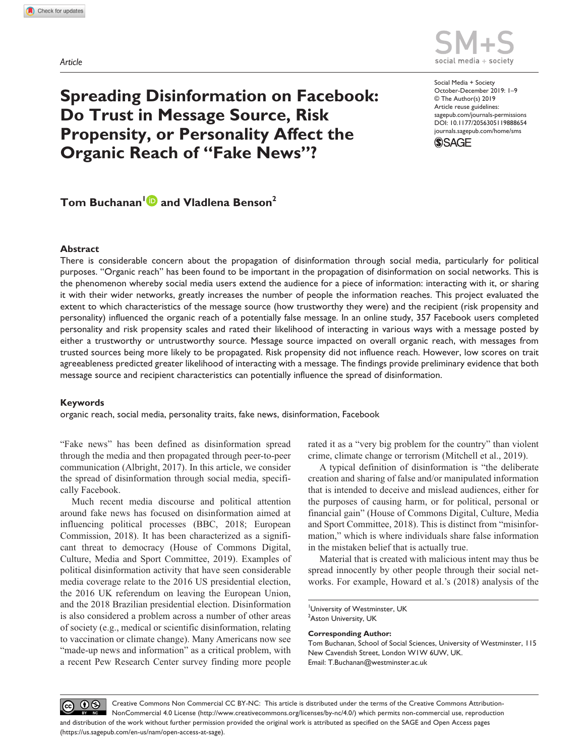*Article*



**Spreading Disinformation on Facebook: Do Trust in Message Source, Risk Propensity, or Personality Affect the Organic Reach of "Fake News"?**

https://doi.org/10.1177/2056305119888654 DOI: 10.1177/2056305119888654 Social Media + Society October-December 2019: 1–9 © The Author(s) 2019 Article reuse guidelines: [sagepub.com/journals-permissions](https://uk.sagepub.com/en-gb/journals-permissions) [journals.sagepub.com/home/sms](https://journals.sagepub.com/home/sms)



# **Tom Buchanan<sup>1</sup> and Vladlena Benson<sup>2</sup>**

#### **Abstract**

There is considerable concern about the propagation of disinformation through social media, particularly for political purposes. "Organic reach" has been found to be important in the propagation of disinformation on social networks. This is the phenomenon whereby social media users extend the audience for a piece of information: interacting with it, or sharing it with their wider networks, greatly increases the number of people the information reaches. This project evaluated the extent to which characteristics of the message source (how trustworthy they were) and the recipient (risk propensity and personality) influenced the organic reach of a potentially false message. In an online study, 357 Facebook users completed personality and risk propensity scales and rated their likelihood of interacting in various ways with a message posted by either a trustworthy or untrustworthy source. Message source impacted on overall organic reach, with messages from trusted sources being more likely to be propagated. Risk propensity did not influence reach. However, low scores on trait agreeableness predicted greater likelihood of interacting with a message. The findings provide preliminary evidence that both message source and recipient characteristics can potentially influence the spread of disinformation.

#### **Keywords**

organic reach, social media, personality traits, fake news, disinformation, Facebook

"Fake news" has been defined as disinformation spread through the media and then propagated through peer-to-peer communication (Albright, 2017). In this article, we consider the spread of disinformation through social media, specifically Facebook.

Much recent media discourse and political attention around fake news has focused on disinformation aimed at influencing political processes (BBC, 2018; European Commission, 2018). It has been characterized as a significant threat to democracy (House of Commons Digital, Culture, Media and Sport Committee, 2019). Examples of political disinformation activity that have seen considerable media coverage relate to the 2016 US presidential election, the 2016 UK referendum on leaving the European Union, and the 2018 Brazilian presidential election. Disinformation is also considered a problem across a number of other areas of society (e.g., medical or scientific disinformation, relating to vaccination or climate change). Many Americans now see "made-up news and information" as a critical problem, with a recent Pew Research Center survey finding more people

rated it as a "very big problem for the country" than violent crime, climate change or terrorism (Mitchell et al., 2019).

A typical definition of disinformation is "the deliberate creation and sharing of false and/or manipulated information that is intended to deceive and mislead audiences, either for the purposes of causing harm, or for political, personal or financial gain" (House of Commons Digital, Culture, Media and Sport Committee, 2018). This is distinct from "misinformation," which is where individuals share false information in the mistaken belief that is actually true.

Material that is created with malicious intent may thus be spread innocently by other people through their social networks. For example, Howard et al.'s (2018) analysis of the

#### **Corresponding Author:**

Tom Buchanan, School of Social Sciences, University of Westminster, 115 New Cavendish Street, London W1W 6UW, UK. Email: [T.Buchanan@westminster.ac.uk](mailto:T.Buchanan@westminster.ac.uk)

 $\circledcirc$   $\bullet$   $\circledcirc$ Creative Commons Non Commercial CC BY-NC: This article is distributed under the terms of the Creative Commons Attribution-NonCommercial 4.0 License (http://www.creativecommons.org/licenses/by-nc/4.0/) which permits non-commercial use, reproduction and distribution of the work without further permission provided the original work is attributed as specified on the SAGE and Open Access pages (https://us.sagepub.com/en-us/nam/open-access-at-sage).

University of Westminster, UK <sup>2</sup>Aston University, UK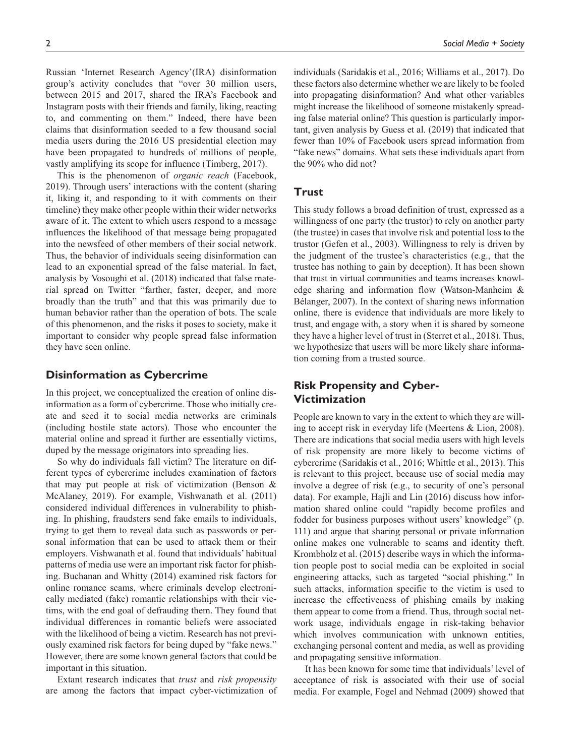Russian 'Internet Research Agency'(IRA) disinformation group's activity concludes that "over 30 million users, between 2015 and 2017, shared the IRA's Facebook and Instagram posts with their friends and family, liking, reacting to, and commenting on them." Indeed, there have been claims that disinformation seeded to a few thousand social media users during the 2016 US presidential election may have been propagated to hundreds of millions of people, vastly amplifying its scope for influence (Timberg, 2017).

This is the phenomenon of *organic reach* (Facebook, 2019). Through users' interactions with the content (sharing it, liking it, and responding to it with comments on their timeline) they make other people within their wider networks aware of it. The extent to which users respond to a message influences the likelihood of that message being propagated into the newsfeed of other members of their social network. Thus, the behavior of individuals seeing disinformation can lead to an exponential spread of the false material. In fact, analysis by Vosoughi et al. (2018) indicated that false material spread on Twitter "farther, faster, deeper, and more broadly than the truth" and that this was primarily due to human behavior rather than the operation of bots. The scale of this phenomenon, and the risks it poses to society, make it important to consider why people spread false information they have seen online.

# **Disinformation as Cybercrime**

In this project, we conceptualized the creation of online disinformation as a form of cybercrime. Those who initially create and seed it to social media networks are criminals (including hostile state actors). Those who encounter the material online and spread it further are essentially victims, duped by the message originators into spreading lies.

So why do individuals fall victim? The literature on different types of cybercrime includes examination of factors that may put people at risk of victimization (Benson & McAlaney, 2019). For example, Vishwanath et al. (2011) considered individual differences in vulnerability to phishing. In phishing, fraudsters send fake emails to individuals, trying to get them to reveal data such as passwords or personal information that can be used to attack them or their employers. Vishwanath et al. found that individuals' habitual patterns of media use were an important risk factor for phishing. Buchanan and Whitty (2014) examined risk factors for online romance scams, where criminals develop electronically mediated (fake) romantic relationships with their victims, with the end goal of defrauding them. They found that individual differences in romantic beliefs were associated with the likelihood of being a victim. Research has not previously examined risk factors for being duped by "fake news." However, there are some known general factors that could be important in this situation.

Extant research indicates that *trust* and *risk propensity* are among the factors that impact cyber-victimization of

individuals (Saridakis et al., 2016; Williams et al., 2017). Do these factors also determine whether we are likely to be fooled into propagating disinformation? And what other variables might increase the likelihood of someone mistakenly spreading false material online? This question is particularly important, given analysis by Guess et al. (2019) that indicated that fewer than 10% of Facebook users spread information from "fake news" domains. What sets these individuals apart from the 90% who did not?

## **Trust**

This study follows a broad definition of trust, expressed as a willingness of one party (the trustor) to rely on another party (the trustee) in cases that involve risk and potential loss to the trustor (Gefen et al., 2003). Willingness to rely is driven by the judgment of the trustee's characteristics (e.g., that the trustee has nothing to gain by deception). It has been shown that trust in virtual communities and teams increases knowledge sharing and information flow (Watson-Manheim & Bélanger, 2007). In the context of sharing news information online, there is evidence that individuals are more likely to trust, and engage with, a story when it is shared by someone they have a higher level of trust in (Sterret et al., 2018). Thus, we hypothesize that users will be more likely share information coming from a trusted source.

# **Risk Propensity and Cyber-Victimization**

People are known to vary in the extent to which they are willing to accept risk in everyday life (Meertens & Lion, 2008). There are indications that social media users with high levels of risk propensity are more likely to become victims of cybercrime (Saridakis et al., 2016; Whittle et al., 2013). This is relevant to this project, because use of social media may involve a degree of risk (e.g., to security of one's personal data). For example, Hajli and Lin (2016) discuss how information shared online could "rapidly become profiles and fodder for business purposes without users' knowledge" (p. 111) and argue that sharing personal or private information online makes one vulnerable to scams and identity theft. Krombholz et al. (2015) describe ways in which the information people post to social media can be exploited in social engineering attacks, such as targeted "social phishing." In such attacks, information specific to the victim is used to increase the effectiveness of phishing emails by making them appear to come from a friend. Thus, through social network usage, individuals engage in risk-taking behavior which involves communication with unknown entities, exchanging personal content and media, as well as providing and propagating sensitive information.

It has been known for some time that individuals' level of acceptance of risk is associated with their use of social media. For example, Fogel and Nehmad (2009) showed that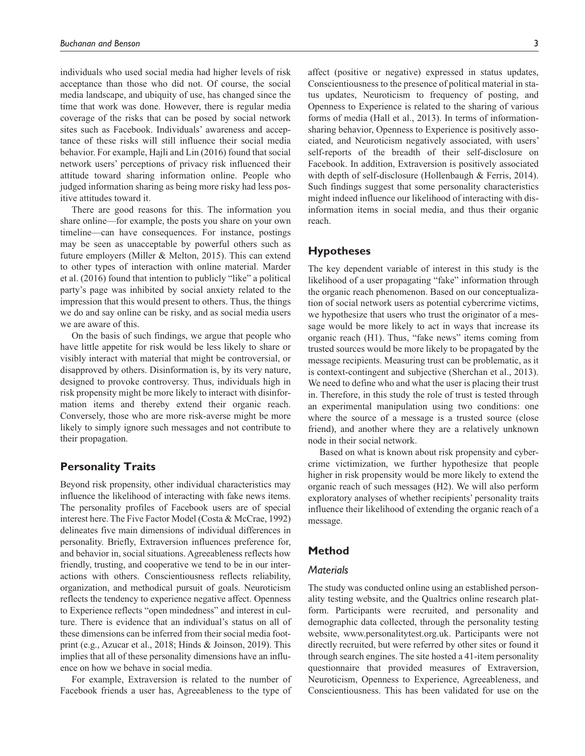individuals who used social media had higher levels of risk acceptance than those who did not. Of course, the social media landscape, and ubiquity of use, has changed since the time that work was done. However, there is regular media coverage of the risks that can be posed by social network sites such as Facebook. Individuals' awareness and acceptance of these risks will still influence their social media behavior. For example, Hajli and Lin (2016) found that social network users' perceptions of privacy risk influenced their attitude toward sharing information online. People who judged information sharing as being more risky had less positive attitudes toward it.

There are good reasons for this. The information you share online—for example, the posts you share on your own timeline—can have consequences. For instance, postings may be seen as unacceptable by powerful others such as future employers (Miller & Melton, 2015). This can extend to other types of interaction with online material. Marder et al. (2016) found that intention to publicly "like" a political party's page was inhibited by social anxiety related to the impression that this would present to others. Thus, the things we do and say online can be risky, and as social media users we are aware of this.

On the basis of such findings, we argue that people who have little appetite for risk would be less likely to share or visibly interact with material that might be controversial, or disapproved by others. Disinformation is, by its very nature, designed to provoke controversy. Thus, individuals high in risk propensity might be more likely to interact with disinformation items and thereby extend their organic reach. Conversely, those who are more risk-averse might be more likely to simply ignore such messages and not contribute to their propagation.

# **Personality Traits**

Beyond risk propensity, other individual characteristics may influence the likelihood of interacting with fake news items. The personality profiles of Facebook users are of special interest here. The Five Factor Model (Costa & McCrae, 1992) delineates five main dimensions of individual differences in personality. Briefly, Extraversion influences preference for, and behavior in, social situations. Agreeableness reflects how friendly, trusting, and cooperative we tend to be in our interactions with others. Conscientiousness reflects reliability, organization, and methodical pursuit of goals. Neuroticism reflects the tendency to experience negative affect. Openness to Experience reflects "open mindedness" and interest in culture. There is evidence that an individual's status on all of these dimensions can be inferred from their social media footprint (e.g., Azucar et al., 2018; Hinds & Joinson, 2019). This implies that all of these personality dimensions have an influence on how we behave in social media.

For example, Extraversion is related to the number of Facebook friends a user has, Agreeableness to the type of affect (positive or negative) expressed in status updates, Conscientiousness to the presence of political material in status updates, Neuroticism to frequency of posting, and Openness to Experience is related to the sharing of various forms of media (Hall et al., 2013). In terms of informationsharing behavior, Openness to Experience is positively associated, and Neuroticism negatively associated, with users' self-reports of the breadth of their self-disclosure on Facebook. In addition, Extraversion is positively associated with depth of self-disclosure (Hollenbaugh & Ferris, 2014). Such findings suggest that some personality characteristics might indeed influence our likelihood of interacting with disinformation items in social media, and thus their organic reach.

# **Hypotheses**

The key dependent variable of interest in this study is the likelihood of a user propagating "fake" information through the organic reach phenomenon. Based on our conceptualization of social network users as potential cybercrime victims, we hypothesize that users who trust the originator of a message would be more likely to act in ways that increase its organic reach (H1). Thus, "fake news" items coming from trusted sources would be more likely to be propagated by the message recipients. Measuring trust can be problematic, as it is context-contingent and subjective (Sherchan et al., 2013). We need to define who and what the user is placing their trust in. Therefore, in this study the role of trust is tested through an experimental manipulation using two conditions: one where the source of a message is a trusted source (close friend), and another where they are a relatively unknown node in their social network.

Based on what is known about risk propensity and cybercrime victimization, we further hypothesize that people higher in risk propensity would be more likely to extend the organic reach of such messages (H2). We will also perform exploratory analyses of whether recipients' personality traits influence their likelihood of extending the organic reach of a message.

## **Method**

#### *Materials*

The study was conducted online using an established personality testing website, and the Qualtrics online research platform. Participants were recruited, and personality and demographic data collected, through the personality testing website, [www.personalitytest.org.uk.](www.personalitytest.org.uk) Participants were not directly recruited, but were referred by other sites or found it through search engines. The site hosted a 41-item personality questionnaire that provided measures of Extraversion, Neuroticism, Openness to Experience, Agreeableness, and Conscientiousness. This has been validated for use on the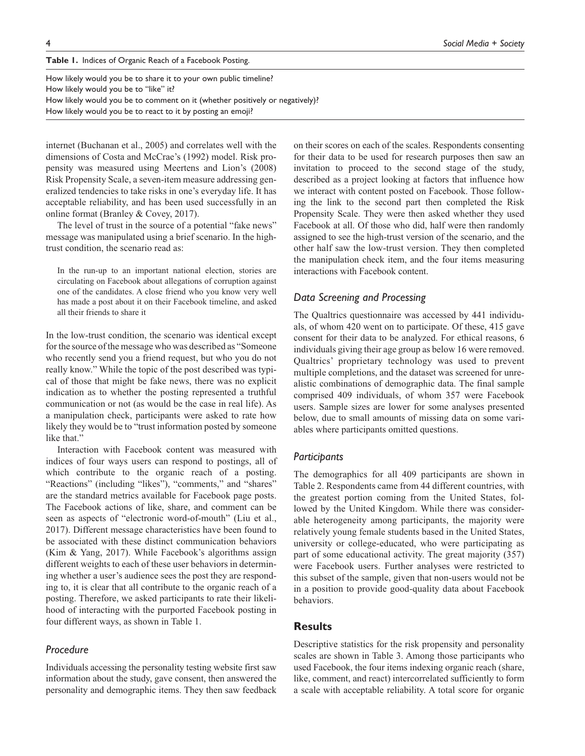**Table 1.** Indices of Organic Reach of a Facebook Posting.

How likely would you be to share it to your own public timeline? How likely would you be to "like" it? How likely would you be to comment on it (whether positively or negatively)? How likely would you be to react to it by posting an emoji?

internet (Buchanan et al., 2005) and correlates well with the dimensions of Costa and McCrae's (1992) model. Risk propensity was measured using Meertens and Lion's (2008) Risk Propensity Scale, a seven-item measure addressing generalized tendencies to take risks in one's everyday life. It has acceptable reliability, and has been used successfully in an online format (Branley & Covey, 2017).

The level of trust in the source of a potential "fake news" message was manipulated using a brief scenario. In the hightrust condition, the scenario read as:

In the run-up to an important national election, stories are circulating on Facebook about allegations of corruption against one of the candidates. A close friend who you know very well has made a post about it on their Facebook timeline, and asked all their friends to share it

In the low-trust condition, the scenario was identical except for the source of the message who was described as "Someone who recently send you a friend request, but who you do not really know." While the topic of the post described was typical of those that might be fake news, there was no explicit indication as to whether the posting represented a truthful communication or not (as would be the case in real life). As a manipulation check, participants were asked to rate how likely they would be to "trust information posted by someone like that."

Interaction with Facebook content was measured with indices of four ways users can respond to postings, all of which contribute to the organic reach of a posting. "Reactions" (including "likes"), "comments," and "shares" are the standard metrics available for Facebook page posts. The Facebook actions of like, share, and comment can be seen as aspects of "electronic word-of-mouth" (Liu et al., 2017). Different message characteristics have been found to be associated with these distinct communication behaviors (Kim & Yang, 2017). While Facebook's algorithms assign different weights to each of these user behaviors in determining whether a user's audience sees the post they are responding to, it is clear that all contribute to the organic reach of a posting. Therefore, we asked participants to rate their likelihood of interacting with the purported Facebook posting in four different ways, as shown in Table 1.

# *Procedure*

Individuals accessing the personality testing website first saw information about the study, gave consent, then answered the personality and demographic items. They then saw feedback

on their scores on each of the scales. Respondents consenting for their data to be used for research purposes then saw an invitation to proceed to the second stage of the study, described as a project looking at factors that influence how we interact with content posted on Facebook. Those following the link to the second part then completed the Risk Propensity Scale. They were then asked whether they used Facebook at all. Of those who did, half were then randomly assigned to see the high-trust version of the scenario, and the other half saw the low-trust version. They then completed the manipulation check item, and the four items measuring interactions with Facebook content.

# *Data Screening and Processing*

The Qualtrics questionnaire was accessed by 441 individuals, of whom 420 went on to participate. Of these, 415 gave consent for their data to be analyzed. For ethical reasons, 6 individuals giving their age group as below 16 were removed. Qualtrics' proprietary technology was used to prevent multiple completions, and the dataset was screened for unrealistic combinations of demographic data. The final sample comprised 409 individuals, of whom 357 were Facebook users. Sample sizes are lower for some analyses presented below, due to small amounts of missing data on some variables where participants omitted questions.

#### *Participants*

The demographics for all 409 participants are shown in Table 2. Respondents came from 44 different countries, with the greatest portion coming from the United States, followed by the United Kingdom. While there was considerable heterogeneity among participants, the majority were relatively young female students based in the United States, university or college-educated, who were participating as part of some educational activity. The great majority (357) were Facebook users. Further analyses were restricted to this subset of the sample, given that non-users would not be in a position to provide good-quality data about Facebook behaviors.

#### **Results**

Descriptive statistics for the risk propensity and personality scales are shown in Table 3. Among those participants who used Facebook, the four items indexing organic reach (share, like, comment, and react) intercorrelated sufficiently to form a scale with acceptable reliability. A total score for organic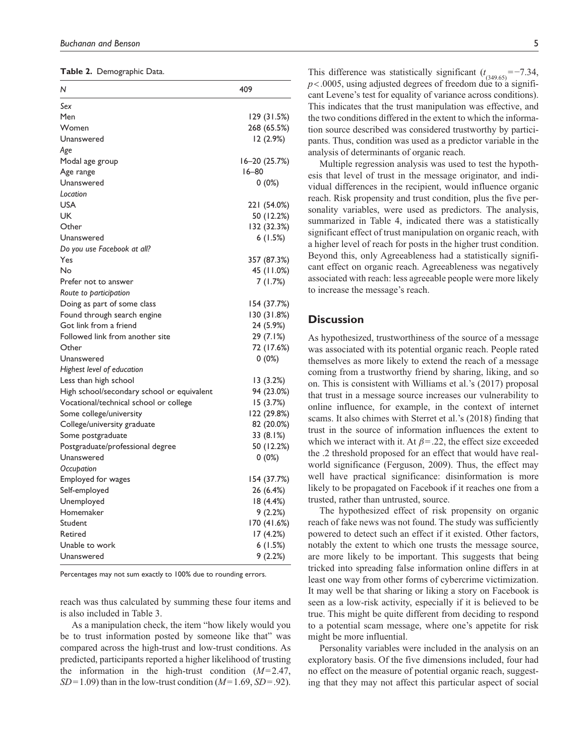**Table 2.** Demographic Data.

| N                                          | 409           |
|--------------------------------------------|---------------|
| Sex                                        |               |
| Men                                        | 129 (31.5%)   |
| Women                                      | 268 (65.5%)   |
| Unanswered                                 | I2 (2.9%)     |
| Age                                        |               |
| Modal age group                            | 16–20 (25.7%) |
| Age range                                  | $16 - 80$     |
| Unanswered                                 | 0 (0%)        |
| Location                                   |               |
| USA                                        | 221 (54.0%)   |
| UK                                         | 50 (12.2%)    |
| Other                                      | 132 (32.3%)   |
| Unanswered                                 | 6 (1.5%)      |
| Do you use Facebook at all?                |               |
| Yes                                        | 357 (87.3%)   |
| No                                         | 45 (11.0%)    |
| Prefer not to answer                       | 7 (1.7%)      |
| Route to participation                     |               |
| Doing as part of some class                | 154 (37.7%)   |
| Found through search engine                | 130 (31.8%)   |
| Got link from a friend                     | 24 (5.9%)     |
| Followed link from another site            | 29 (7.1%)     |
| Other                                      | 72 (17.6%)    |
| Unanswered                                 | $0(0\%)$      |
| Highest level of education                 |               |
| Less than high school                      | 13 (3.2%)     |
| High school/secondary school or equivalent | 94 (23.0%)    |
| Vocational/technical school or college     | 15 (3.7%)     |
| Some college/university                    | 122 (29.8%)   |
| College/university graduate                | 82 (20.0%)    |
| Some postgraduate                          | 33 (8.1%)     |
| Postgraduate/professional degree           | 50 (12.2%)    |
| Unanswered                                 | $0(0\%)$      |
| Occupation                                 |               |
| <b>Employed for wages</b>                  | 154 (37.7%)   |
| Self-employed                              | 26 (6.4%)     |
| Unemployed                                 | 18 (4.4%)     |
| Homemaker                                  | 9 (2.2%)      |
| Student                                    | 170 (41.6%)   |
| Retired                                    | 17 (4.2%)     |
| Unable to work                             | 6(1.5%)       |
| Unanswered                                 | 9 (2.2%)      |

Percentages may not sum exactly to 100% due to rounding errors.

reach was thus calculated by summing these four items and is also included in Table 3.

As a manipulation check, the item "how likely would you be to trust information posted by someone like that" was compared across the high-trust and low-trust conditions. As predicted, participants reported a higher likelihood of trusting the information in the high-trust condition (*M*=2.47,  $SD = 1.09$ ) than in the low-trust condition ( $M = 1.69$ ,  $SD = .92$ ).

This difference was statistically significant  $(t_{(349.65)} = -7.34$ ,  $p$ <.0005, using adjusted degrees of freedom due to a significant Levene's test for equality of variance across conditions). This indicates that the trust manipulation was effective, and the two conditions differed in the extent to which the information source described was considered trustworthy by participants. Thus, condition was used as a predictor variable in the analysis of determinants of organic reach.

Multiple regression analysis was used to test the hypothesis that level of trust in the message originator, and individual differences in the recipient, would influence organic reach. Risk propensity and trust condition, plus the five personality variables, were used as predictors. The analysis, summarized in Table 4, indicated there was a statistically significant effect of trust manipulation on organic reach, with a higher level of reach for posts in the higher trust condition. Beyond this, only Agreeableness had a statistically significant effect on organic reach. Agreeableness was negatively associated with reach: less agreeable people were more likely to increase the message's reach.

# **Discussion**

As hypothesized, trustworthiness of the source of a message was associated with its potential organic reach. People rated themselves as more likely to extend the reach of a message coming from a trustworthy friend by sharing, liking, and so on. This is consistent with Williams et al.'s (2017) proposal that trust in a message source increases our vulnerability to online influence, for example, in the context of internet scams. It also chimes with Sterret et al.'s (2018) finding that trust in the source of information influences the extent to which we interact with it. At  $\beta$ =.22, the effect size exceeded the .2 threshold proposed for an effect that would have realworld significance (Ferguson, 2009). Thus, the effect may well have practical significance: disinformation is more likely to be propagated on Facebook if it reaches one from a trusted, rather than untrusted, source.

The hypothesized effect of risk propensity on organic reach of fake news was not found. The study was sufficiently powered to detect such an effect if it existed. Other factors, notably the extent to which one trusts the message source, are more likely to be important. This suggests that being tricked into spreading false information online differs in at least one way from other forms of cybercrime victimization. It may well be that sharing or liking a story on Facebook is seen as a low-risk activity, especially if it is believed to be true. This might be quite different from deciding to respond to a potential scam message, where one's appetite for risk might be more influential.

Personality variables were included in the analysis on an exploratory basis. Of the five dimensions included, four had no effect on the measure of potential organic reach, suggesting that they may not affect this particular aspect of social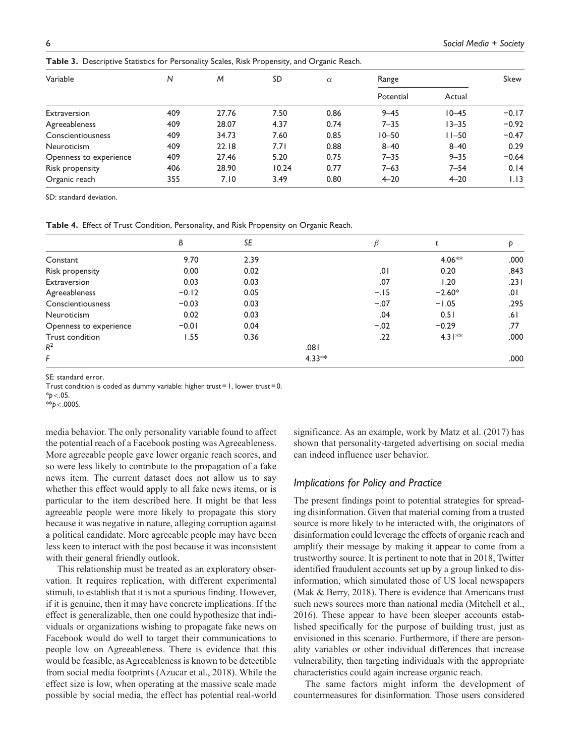| Variable               | N   | M     | SD    | $\alpha$ | Range     |           | Skew    |
|------------------------|-----|-------|-------|----------|-----------|-----------|---------|
|                        |     |       |       |          | Potential | Actual    |         |
| Extraversion           | 409 | 27.76 | 7.50  | 0.86     | $9 - 45$  | $10 - 45$ | $-0.17$ |
| Agreeableness          | 409 | 28.07 | 4.37  | 0.74     | $7 - 35$  | $13 - 35$ | $-0.92$ |
| Conscientiousness      | 409 | 34.73 | 7.60  | 0.85     | $10 - 50$ | $11 - 50$ | $-0.47$ |
| <b>Neuroticism</b>     | 409 | 22.18 | 7.71  | 0.88     | $8 - 40$  | $8 - 40$  | 0.29    |
| Openness to experience | 409 | 27.46 | 5.20  | 0.75     | $7 - 35$  | $9 - 35$  | $-0.64$ |
| Risk propensity        | 406 | 28.90 | 10.24 | 0.77     | $7 - 63$  | $7 - 54$  | 0.14    |
| Organic reach          | 355 | 7.10  | 3.49  | 0.80     | $4 - 20$  | $4 - 20$  | 1.13    |

**Table 3.** Descriptive Statistics for Personality Scales, Risk Propensity, and Organic Reach.

SD: standard deviation.

**Table 4.** Effect of Trust Condition, Personality, and Risk Propensity on Organic Reach.

|                        | В       | SE   |          | β      |           | Þ    |
|------------------------|---------|------|----------|--------|-----------|------|
| Constant               | 9.70    | 2.39 |          |        | $4.06***$ | .000 |
| Risk propensity        | 0.00    | 0.02 |          | 0١.    | 0.20      | .843 |
| Extraversion           | 0.03    | 0.03 |          | .07    | 1.20      | .231 |
| Agreeableness          | $-0.12$ | 0.05 |          | $-.15$ | $-2.60*$  | .01  |
| Conscientiousness      | $-0.03$ | 0.03 |          | $-.07$ | $-1.05$   | .295 |
| Neuroticism            | 0.02    | 0.03 |          | .04    | 0.51      | .61  |
| Openness to experience | $-0.01$ | 0.04 |          | $-.02$ | $-0.29$   | .77  |
| Trust condition        | l.55    | 0.36 |          | .22    | $4.31***$ | .000 |
| $R^2$                  |         |      | .081     |        |           |      |
| F                      |         |      | $4.33**$ |        |           | .000 |

SE: standard error.

Trust condition is coded as dummy variable: higher trust=1, lower trust=0.

\**p*<.05. \*\**p*<.0005.

media behavior. The only personality variable found to affect the potential reach of a Facebook posting was Agreeableness. More agreeable people gave lower organic reach scores, and so were less likely to contribute to the propagation of a fake news item. The current dataset does not allow us to say whether this effect would apply to all fake news items, or is particular to the item described here. It might be that less agreeable people were more likely to propagate this story because it was negative in nature, alleging corruption against a political candidate. More agreeable people may have been less keen to interact with the post because it was inconsistent with their general friendly outlook.

This relationship must be treated as an exploratory observation. It requires replication, with different experimental stimuli, to establish that it is not a spurious finding. However, if it is genuine, then it may have concrete implications. If the effect is generalizable, then one could hypothesize that individuals or organizations wishing to propagate fake news on Facebook would do well to target their communications to people low on Agreeableness. There is evidence that this would be feasible, as Agreeableness is known to be detectible from social media footprints (Azucar et al., 2018). While the effect size is low, when operating at the massive scale made possible by social media, the effect has potential real-world

significance. As an example, work by Matz et al. (2017) has shown that personality-targeted advertising on social media can indeed influence user behavior.

#### *Implications for Policy and Practice*

The present findings point to potential strategies for spreading disinformation. Given that material coming from a trusted source is more likely to be interacted with, the originators of disinformation could leverage the effects of organic reach and amplify their message by making it appear to come from a trustworthy source. It is pertinent to note that in 2018, Twitter identified fraudulent accounts set up by a group linked to disinformation, which simulated those of US local newspapers (Mak & Berry, 2018). There is evidence that Americans trust such news sources more than national media (Mitchell et al., 2016). These appear to have been sleeper accounts established specifically for the purpose of building trust, just as envisioned in this scenario. Furthermore, if there are personality variables or other individual differences that increase vulnerability, then targeting individuals with the appropriate characteristics could again increase organic reach.

The same factors might inform the development of countermeasures for disinformation. Those users considered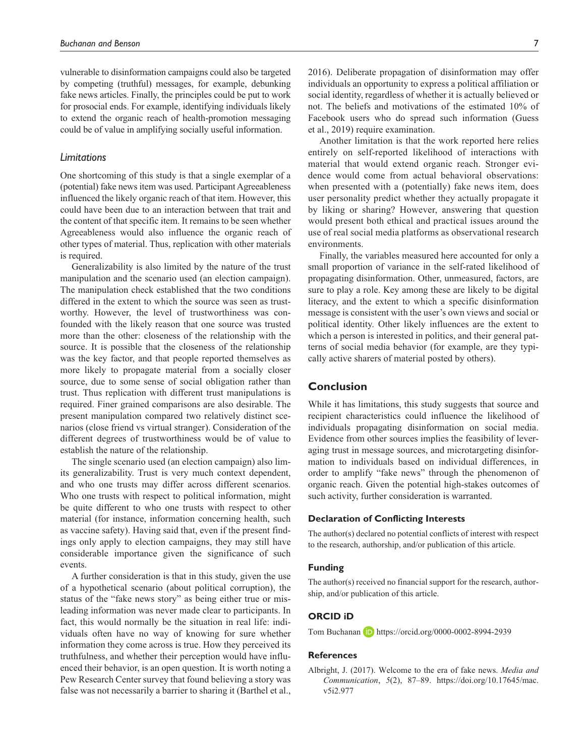vulnerable to disinformation campaigns could also be targeted by competing (truthful) messages, for example, debunking fake news articles. Finally, the principles could be put to work for prosocial ends. For example, identifying individuals likely to extend the organic reach of health-promotion messaging could be of value in amplifying socially useful information.

#### *Limitations*

One shortcoming of this study is that a single exemplar of a (potential) fake news item was used. Participant Agreeableness influenced the likely organic reach of that item. However, this could have been due to an interaction between that trait and the content of that specific item. It remains to be seen whether Agreeableness would also influence the organic reach of other types of material. Thus, replication with other materials is required.

Generalizability is also limited by the nature of the trust manipulation and the scenario used (an election campaign). The manipulation check established that the two conditions differed in the extent to which the source was seen as trustworthy. However, the level of trustworthiness was confounded with the likely reason that one source was trusted more than the other: closeness of the relationship with the source. It is possible that the closeness of the relationship was the key factor, and that people reported themselves as more likely to propagate material from a socially closer source, due to some sense of social obligation rather than trust. Thus replication with different trust manipulations is required. Finer grained comparisons are also desirable. The present manipulation compared two relatively distinct scenarios (close friend vs virtual stranger). Consideration of the different degrees of trustworthiness would be of value to establish the nature of the relationship.

The single scenario used (an election campaign) also limits generalizability. Trust is very much context dependent, and who one trusts may differ across different scenarios. Who one trusts with respect to political information, might be quite different to who one trusts with respect to other material (for instance, information concerning health, such as vaccine safety). Having said that, even if the present findings only apply to election campaigns, they may still have considerable importance given the significance of such events.

A further consideration is that in this study, given the use of a hypothetical scenario (about political corruption), the status of the "fake news story" as being either true or misleading information was never made clear to participants. In fact, this would normally be the situation in real life: individuals often have no way of knowing for sure whether information they come across is true. How they perceived its truthfulness, and whether their perception would have influenced their behavior, is an open question. It is worth noting a Pew Research Center survey that found believing a story was false was not necessarily a barrier to sharing it (Barthel et al.,

2016). Deliberate propagation of disinformation may offer individuals an opportunity to express a political affiliation or social identity, regardless of whether it is actually believed or not. The beliefs and motivations of the estimated 10% of Facebook users who do spread such information (Guess et al., 2019) require examination.

Another limitation is that the work reported here relies entirely on self-reported likelihood of interactions with material that would extend organic reach. Stronger evidence would come from actual behavioral observations: when presented with a (potentially) fake news item, does user personality predict whether they actually propagate it by liking or sharing? However, answering that question would present both ethical and practical issues around the use of real social media platforms as observational research environments.

Finally, the variables measured here accounted for only a small proportion of variance in the self-rated likelihood of propagating disinformation. Other, unmeasured, factors, are sure to play a role. Key among these are likely to be digital literacy, and the extent to which a specific disinformation message is consistent with the user's own views and social or political identity. Other likely influences are the extent to which a person is interested in politics, and their general patterns of social media behavior (for example, are they typically active sharers of material posted by others).

# **Conclusion**

While it has limitations, this study suggests that source and recipient characteristics could influence the likelihood of individuals propagating disinformation on social media. Evidence from other sources implies the feasibility of leveraging trust in message sources, and microtargeting disinformation to individuals based on individual differences, in order to amplify "fake news" through the phenomenon of organic reach. Given the potential high-stakes outcomes of such activity, further consideration is warranted.

#### **Declaration of Conflicting Interests**

The author(s) declared no potential conflicts of interest with respect to the research, authorship, and/or publication of this article.

#### **Funding**

The author(s) received no financial support for the research, authorship, and/or publication of this article.

#### **ORCID iD**

Tom Buchanan **D** <https://orcid.org/0000-0002-8994-2939>

#### **References**

Albright, J. (2017). Welcome to the era of fake news. *Media and Communication*, *5*(2), 87–89. [https://doi.org/10.17645/mac.](https://doi.org/10.17645/mac.v5i2.977) [v5i2.977](https://doi.org/10.17645/mac.v5i2.977)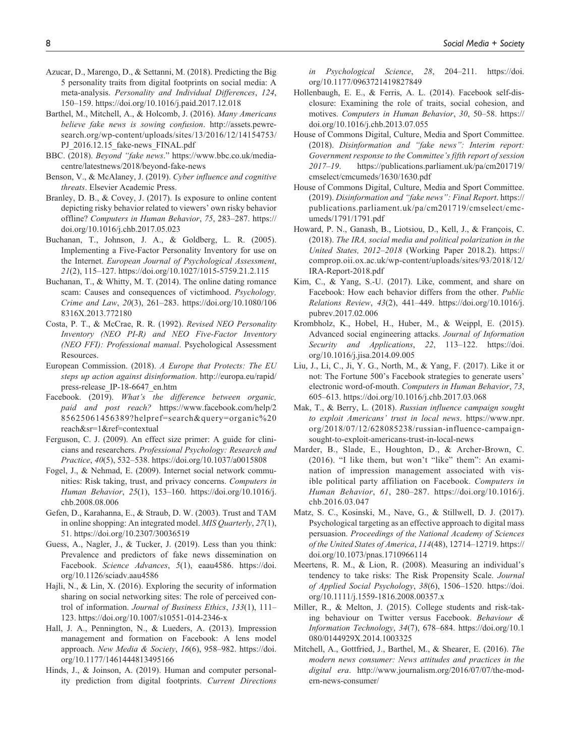- Azucar, D., Marengo, D., & Settanni, M. (2018). Predicting the Big 5 personality traits from digital footprints on social media: A meta-analysis. *Personality and Individual Differences*, *124*, 150–159.<https://doi.org/10.1016/j.paid.2017.12.018>
- Barthel, M., Mitchell, A., & Holcomb, J. (2016). *Many Americans believe fake news is sowing confusion*. [http://assets.pewre](http://assets.pewresearch.org/wp-content/uploads/sites/13/2016/12/14154753/PJ_2016.12.15_fake-news_FINAL.pdf)[search.org/wp-content/uploads/sites/13/2016/12/14154753/](http://assets.pewresearch.org/wp-content/uploads/sites/13/2016/12/14154753/PJ_2016.12.15_fake-news_FINAL.pdf) [PJ\\_2016.12.15\\_fake-news\\_FINAL.pdf](http://assets.pewresearch.org/wp-content/uploads/sites/13/2016/12/14154753/PJ_2016.12.15_fake-news_FINAL.pdf)
- BBC. (2018). *Beyond "fake news*." [https://www.bbc.co.uk/media](https://www.bbc.co.uk/mediacentre/latestnews/2018/beyond-fake-news)[centre/latestnews/2018/beyond-fake-news](https://www.bbc.co.uk/mediacentre/latestnews/2018/beyond-fake-news)
- Benson, V., & McAlaney, J. (2019). *Cyber influence and cognitive threats*. Elsevier Academic Press.
- Branley, D. B., & Covey, J. (2017). Is exposure to online content depicting risky behavior related to viewers' own risky behavior offline? *Computers in Human Behavior*, *75*, 283–287. [https://](https://doi.org/10.1016/j.chb.2017.05.023) [doi.org/10.1016/j.chb.2017.05.023](https://doi.org/10.1016/j.chb.2017.05.023)
- Buchanan, T., Johnson, J. A., & Goldberg, L. R. (2005). Implementing a Five-Factor Personality Inventory for use on the Internet. *European Journal of Psychological Assessment*, *21*(2), 115–127.<https://doi.org/10.1027/1015-5759.21.2.115>
- Buchanan, T., & Whitty, M. T. (2014). The online dating romance scam: Causes and consequences of victimhood. *Psychology, Crime and Law*, *20*(3), 261–283. [https://doi.org/10.1080/106](https://doi.org/10.1080/1068316X.2013.772180) [8316X.2013.772180](https://doi.org/10.1080/1068316X.2013.772180)
- Costa, P. T., & McCrae, R. R. (1992). *Revised NEO Personality Inventory (NEO PI-R) and NEO Five-Factor Inventory (NEO FFI): Professional manual*. Psychological Assessment Resources.
- European Commission. (2018). *A Europe that Protects: The EU steps up action against disinformation*. [http://europa.eu/rapid/](http://europa.eu/rapid/press-release_IP-18-6647_en.htm) [press-release\\_IP-18-6647\\_en.htm](http://europa.eu/rapid/press-release_IP-18-6647_en.htm)
- Facebook. (2019). *What's the difference between organic, paid and post reach?* [https://www.facebook.com/help/2](https://www.facebook.com/help/285625061456389?helpref=search&query=organic%20reach&sr=1&ref=contextual) [85625061456389?helpref=search&query=organic%20](https://www.facebook.com/help/285625061456389?helpref=search&query=organic%20reach&sr=1&ref=contextual) [reach&sr=1&ref=contextual](https://www.facebook.com/help/285625061456389?helpref=search&query=organic%20reach&sr=1&ref=contextual)
- Ferguson, C. J. (2009). An effect size primer: A guide for clinicians and researchers. *Professional Psychology: Research and Practice*, *40*(5), 532–538. <https://doi.org/10.1037/a0015808>
- Fogel, J., & Nehmad, E. (2009). Internet social network communities: Risk taking, trust, and privacy concerns. *Computers in Human Behavior*, *25*(1), 153–160. [https://doi.org/10.1016/j.](https://doi.org/10.1016/j.chb.2008.08.006) [chb.2008.08.006](https://doi.org/10.1016/j.chb.2008.08.006)
- Gefen, D., Karahanna, E., & Straub, D. W. (2003). Trust and TAM in online shopping: An integrated model. *MIS Quarterly*, *27*(1), 51. <https://doi.org/10.2307/30036519>
- Guess, A., Nagler, J., & Tucker, J. (2019). Less than you think: Prevalence and predictors of fake news dissemination on Facebook. *Science Advances*, *5*(1), eaau4586. [https://doi.](https://doi.org/10.1126/sciadv.aau4586) [org/10.1126/sciadv.aau4586](https://doi.org/10.1126/sciadv.aau4586)
- Hajli, N., & Lin, X. (2016). Exploring the security of information sharing on social networking sites: The role of perceived control of information. *Journal of Business Ethics*, *133*(1), 111– 123.<https://doi.org/10.1007/s10551-014-2346-x>
- Hall, J. A., Pennington, N., & Lueders, A. (2013). Impression management and formation on Facebook: A lens model approach. *New Media & Society*, *16*(6), 958–982. [https://doi.](https://doi.org/10.1177/1461444813495166) [org/10.1177/1461444813495166](https://doi.org/10.1177/1461444813495166)
- Hinds, J., & Joinson, A. (2019). Human and computer personality prediction from digital footprints. *Current Directions*

*in Psychological Science*, *28*, 204–211. [https://doi.](https://doi.org/10.1177/0963721419827849) [org/10.1177/0963721419827849](https://doi.org/10.1177/0963721419827849)

- Hollenbaugh, E. E., & Ferris, A. L. (2014). Facebook self-disclosure: Examining the role of traits, social cohesion, and motives. *Computers in Human Behavior*, *30*, 50–58. [https://](https://doi.org/10.1016/j.chb.2013.07.055) [doi.org/10.1016/j.chb.2013.07.055](https://doi.org/10.1016/j.chb.2013.07.055)
- House of Commons Digital, Culture, Media and Sport Committee. (2018). *Disinformation and "fake news": Interim report: Government response to the Committee's fifth report of session 2017–19*. [https://publications.parliament.uk/pa/cm201719/](https://publications.parliament.uk/pa/cm201719/cmselect/cmcumeds/1630/1630.pdf) [cmselect/cmcumeds/1630/1630.pdf](https://publications.parliament.uk/pa/cm201719/cmselect/cmcumeds/1630/1630.pdf)
- House of Commons Digital, Culture, Media and Sport Committee. (2019). *Disinformation and "fake news": Final Report*. [https://](https://publications.parliament.uk/pa/cm201719/cmselect/cmcumeds/1791/1791.pdf) [publications.parliament.uk/pa/cm201719/cmselect/cmc](https://publications.parliament.uk/pa/cm201719/cmselect/cmcumeds/1791/1791.pdf)[umeds/1791/1791.pdf](https://publications.parliament.uk/pa/cm201719/cmselect/cmcumeds/1791/1791.pdf)
- Howard, P. N., Ganash, B., Liotsiou, D., Kell, J., & François, C. (2018). *The IRA, social media and political polarization in the United States, 2012–2018* (Working Paper 2018.2). [https://](https://comprop.oii.ox.ac.uk/wp-content/uploads/sites/93/2018/12/IRA-Report-2018.pdf) [comprop.oii.ox.ac.uk/wp-content/uploads/sites/93/2018/12/](https://comprop.oii.ox.ac.uk/wp-content/uploads/sites/93/2018/12/IRA-Report-2018.pdf) [IRA-Report-2018.pdf](https://comprop.oii.ox.ac.uk/wp-content/uploads/sites/93/2018/12/IRA-Report-2018.pdf)
- Kim, C., & Yang, S.-U. (2017). Like, comment, and share on Facebook: How each behavior differs from the other. *Public Relations Review*, *43*(2), 441–449. [https://doi.org/10.1016/j.](https://doi.org/10.1016/j.pubrev.2017.02.006) [pubrev.2017.02.006](https://doi.org/10.1016/j.pubrev.2017.02.006)
- Krombholz, K., Hobel, H., Huber, M., & Weippl, E. (2015). Advanced social engineering attacks. *Journal of Information Security and Applications*, *22*, 113–122. [https://doi.](https://doi.org/10.1016/j.jisa.2014.09.005) [org/10.1016/j.jisa.2014.09.005](https://doi.org/10.1016/j.jisa.2014.09.005)
- Liu, J., Li, C., Ji, Y. G., North, M., & Yang, F. (2017). Like it or not: The Fortune 500's Facebook strategies to generate users' electronic word-of-mouth. *Computers in Human Behavior*, *73*, 605–613. <https://doi.org/10.1016/j.chb.2017.03.068>
- Mak, T., & Berry, L. (2018). *Russian influence campaign sought to exploit Americans' trust in local news*. [https://www.npr.](https://www.npr.org/2018/07/12/628085238/russian-influence-campaign-sought-to-exploit-americans-trust-in-local-news) [org/2018/07/12/628085238/russian-influence-campaign](https://www.npr.org/2018/07/12/628085238/russian-influence-campaign-sought-to-exploit-americans-trust-in-local-news)[sought-to-exploit-americans-trust-in-local-news](https://www.npr.org/2018/07/12/628085238/russian-influence-campaign-sought-to-exploit-americans-trust-in-local-news)
- Marder, B., Slade, E., Houghton, D., & Archer-Brown, C. (2016). "I like them, but won't "like" them": An examination of impression management associated with visible political party affiliation on Facebook. *Computers in Human Behavior*, *61*, 280–287. [https://doi.org/10.1016/j.](https://doi.org/10.1016/j.chb.2016.03.047) [chb.2016.03.047](https://doi.org/10.1016/j.chb.2016.03.047)
- Matz, S. C., Kosinski, M., Nave, G., & Stillwell, D. J. (2017). Psychological targeting as an effective approach to digital mass persuasion. *Proceedings of the National Academy of Sciences of the United States of America*, *114*(48), 12714–12719. [https://](https://doi.org/10.1073/pnas.1710966114) [doi.org/10.1073/pnas.1710966114](https://doi.org/10.1073/pnas.1710966114)
- Meertens, R. M., & Lion, R. (2008). Measuring an individual's tendency to take risks: The Risk Propensity Scale. *Journal of Applied Social Psychology*, *38*(6), 1506–1520. [https://doi.](https://doi.org/10.1111/j.1559-1816.2008.00357.x) [org/10.1111/j.1559-1816.2008.00357.x](https://doi.org/10.1111/j.1559-1816.2008.00357.x)
- Miller, R., & Melton, J. (2015). College students and risk-taking behaviour on Twitter versus Facebook. *Behaviour & Information Technology*, *34*(7), 678–684. [https://doi.org/10.1](https://doi.org/10.1080/0144929X.2014.1003325) [080/0144929X.2014.1003325](https://doi.org/10.1080/0144929X.2014.1003325)
- Mitchell, A., Gottfried, J., Barthel, M., & Shearer, E. (2016). *The modern news consumer: News attitudes and practices in the digital era*. [http://www.journalism.org/2016/07/07/the-mod](http://www.journalism.org/2016/07/07/the-modern-news-consumer/)[ern-news-consumer/](http://www.journalism.org/2016/07/07/the-modern-news-consumer/)